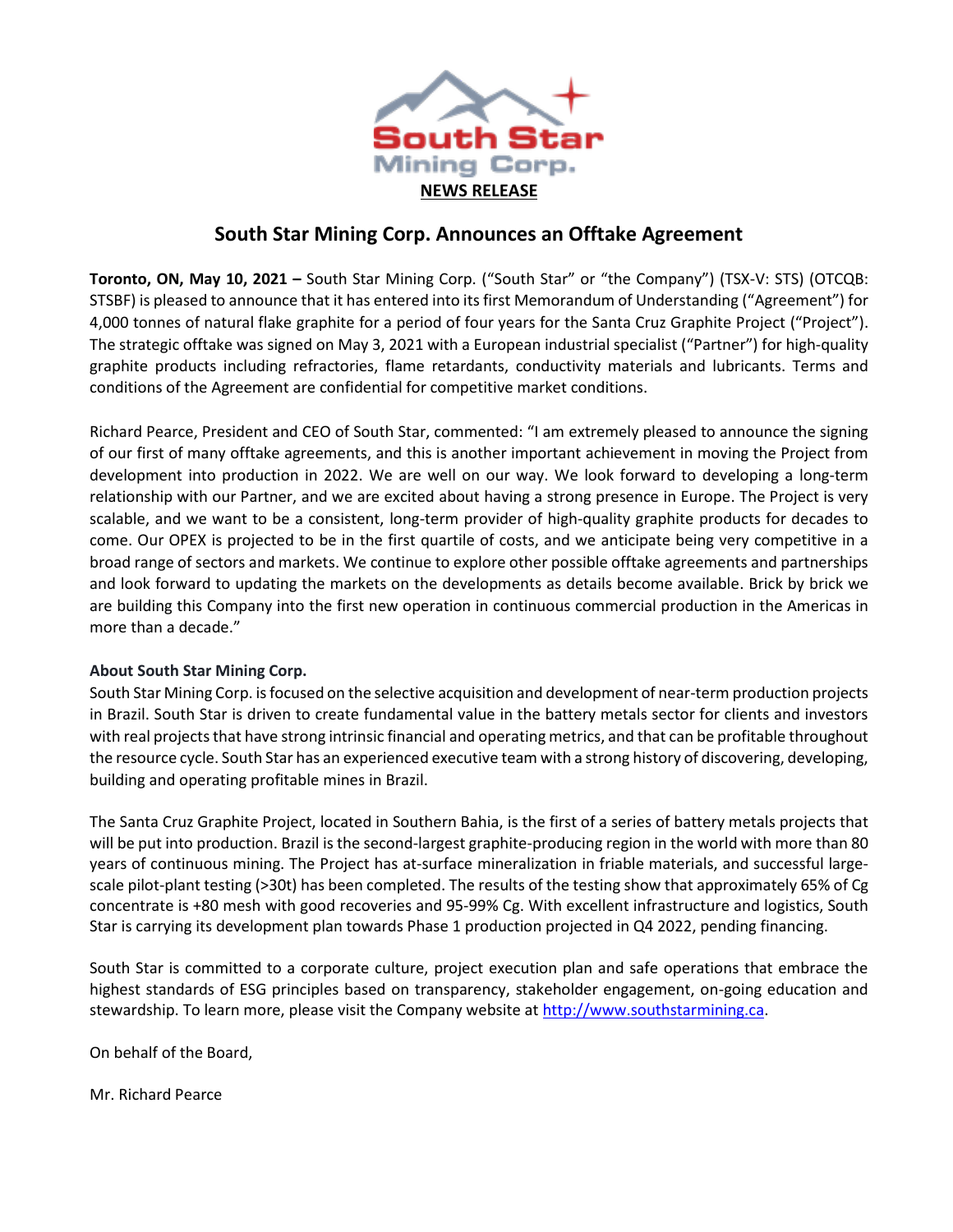

# **South Star Mining Corp. Announces an Offtake Agreement**

**Toronto, ON, May 10, 2021 –** South Star Mining Corp. ("South Star" or "the Company") (TSX-V: STS) (OTCQB: STSBF) is pleased to announce that it has entered into its first Memorandum of Understanding ("Agreement") for 4,000 tonnes of natural flake graphite for a period of four years for the Santa Cruz Graphite Project ("Project"). The strategic offtake was signed on May 3, 2021 with a European industrial specialist ("Partner") for high-quality graphite products including refractories, flame retardants, conductivity materials and lubricants. Terms and conditions of the Agreement are confidential for competitive market conditions.

Richard Pearce, President and CEO of South Star, commented: "I am extremely pleased to announce the signing of our first of many offtake agreements, and this is another important achievement in moving the Project from development into production in 2022. We are well on our way. We look forward to developing a long-term relationship with our Partner, and we are excited about having a strong presence in Europe. The Project is very scalable, and we want to be a consistent, long-term provider of high-quality graphite products for decades to come. Our OPEX is projected to be in the first quartile of costs, and we anticipate being very competitive in a broad range of sectors and markets. We continue to explore other possible offtake agreements and partnerships and look forward to updating the markets on the developments as details become available. Brick by brick we are building this Company into the first new operation in continuous commercial production in the Americas in more than a decade."

## **About South Star Mining Corp.**

South Star Mining Corp. is focused on the selective acquisition and development of near-term production projects in Brazil. South Star is driven to create fundamental value in the battery metals sector for clients and investors with real projects that have strong intrinsic financial and operating metrics, and that can be profitable throughout the resource cycle. South Star has an experienced executive team with a strong history of discovering, developing, building and operating profitable mines in Brazil.

The Santa Cruz Graphite Project, located in Southern Bahia, is the first of a series of battery metals projects that will be put into production. Brazil is the second-largest graphite-producing region in the world with more than 80 years of continuous mining. The Project has at-surface mineralization in friable materials, and successful largescale pilot-plant testing (>30t) has been completed. The results of the testing show that approximately 65% of Cg concentrate is +80 mesh with good recoveries and 95-99% Cg. With excellent infrastructure and logistics, South Star is carrying its development plan towards Phase 1 production projected in Q4 2022, pending financing.

South Star is committed to a corporate culture, project execution plan and safe operations that embrace the highest standards of ESG principles based on transparency, stakeholder engagement, on-going education and stewardship. To learn more, please visit the Company website at [http://www.southstarmining.ca.](http://www.southstarmining.ca/)

On behalf of the Board,

Mr. Richard Pearce